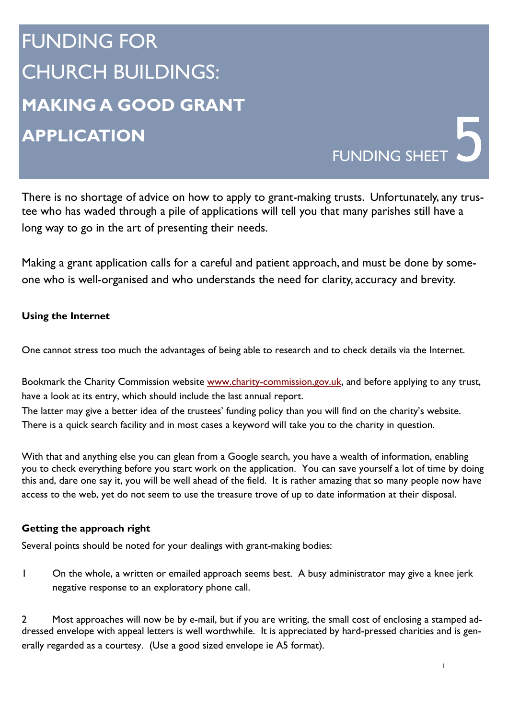## FUNDING FOR CHURCH BUILDINGS: **MAKING A GOOD GRANT APPLICATION**

There is no shortage of advice on how to apply to grant-making trusts. Unfortunately, any trustee who has waded through a pile of applications will tell you that many parishes still have a long way to go in the art of presenting their needs.

FUNDING SHEET

Making a grant application calls for a careful and patient approach, and must be done by someone who is well-organised and who understands the need for clarity, accuracy and brevity.

## **Using the Internet**

One cannot stress too much the advantages of being able to research and to check details via the Internet.

Bookmark the Charity Commission website www.charity-commission.gov.uk, and before applying to any trust, have a look at its entry, which should include the last annual report. The latter may give a better idea of the trustees' funding policy than you will find on the charity's website. There is a quick search facility and in most cases a keyword will take you to the charity in question.

With that and anything else you can glean from a Google search, you have a wealth of information, enabling you to check everything before you start work on the application. You can save yourself a lot of time by doing this and, dare one say it, you will be well ahead of the field. It is rather amazing that so many people now have access to the web, yet do not seem to use the treasure trove of up to date information at their disposal.

## **Getting the approach right**

Several points should be noted for your dealings with grant-making bodies:

1 On the whole, a written or emailed approach seems best. A busy administrator may give a knee jerk negative response to an exploratory phone call.

2 Most approaches will now be by e-mail, but if you are writing, the small cost of enclosing a stamped addressed envelope with appeal letters is well worthwhile. It is appreciated by hard-pressed charities and is generally regarded as a courtesy. (Use a good sized envelope ie A5 format).